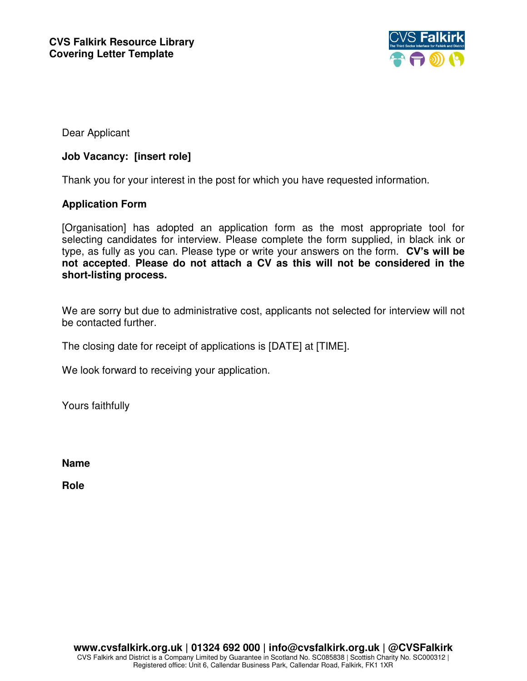

Dear Applicant

### **Job Vacancy: [insert role]**

Thank you for your interest in the post for which you have requested information.

### **Application Form**

[Organisation] has adopted an application form as the most appropriate tool for selecting candidates for interview. Please complete the form supplied, in black ink or type, as fully as you can. Please type or write your answers on the form. **CV's will be not accepted**. **Please do not attach a CV as this will not be considered in the short-listing process.** 

We are sorry but due to administrative cost, applicants not selected for interview will not be contacted further.

The closing date for receipt of applications is [DATE] at [TIME].

We look forward to receiving your application.

Yours faithfully

**Name** 

**Role**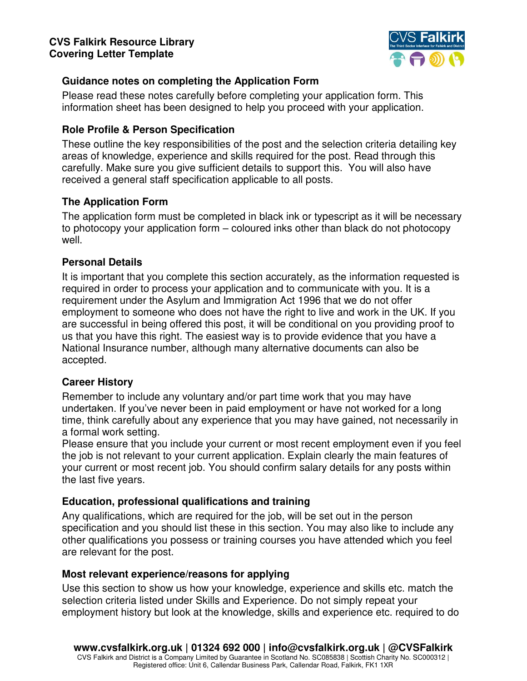

## **Guidance notes on completing the Application Form**

Please read these notes carefully before completing your application form. This information sheet has been designed to help you proceed with your application.

# **Role Profile & Person Specification**

These outline the key responsibilities of the post and the selection criteria detailing key areas of knowledge, experience and skills required for the post. Read through this carefully. Make sure you give sufficient details to support this. You will also have received a general staff specification applicable to all posts.

## **The Application Form**

The application form must be completed in black ink or typescript as it will be necessary to photocopy your application form – coloured inks other than black do not photocopy well.

## **Personal Details**

It is important that you complete this section accurately, as the information requested is required in order to process your application and to communicate with you. It is a requirement under the Asylum and Immigration Act 1996 that we do not offer employment to someone who does not have the right to live and work in the UK. If you are successful in being offered this post, it will be conditional on you providing proof to us that you have this right. The easiest way is to provide evidence that you have a National Insurance number, although many alternative documents can also be accepted.

# **Career History**

Remember to include any voluntary and/or part time work that you may have undertaken. If you've never been in paid employment or have not worked for a long time, think carefully about any experience that you may have gained, not necessarily in a formal work setting.

Please ensure that you include your current or most recent employment even if you feel the job is not relevant to your current application. Explain clearly the main features of your current or most recent job. You should confirm salary details for any posts within the last five years.

# **Education, professional qualifications and training**

Any qualifications, which are required for the job, will be set out in the person specification and you should list these in this section. You may also like to include any other qualifications you possess or training courses you have attended which you feel are relevant for the post.

### **Most relevant experience/reasons for applying**

Use this section to show us how your knowledge, experience and skills etc. match the selection criteria listed under Skills and Experience. Do not simply repeat your employment history but look at the knowledge, skills and experience etc. required to do